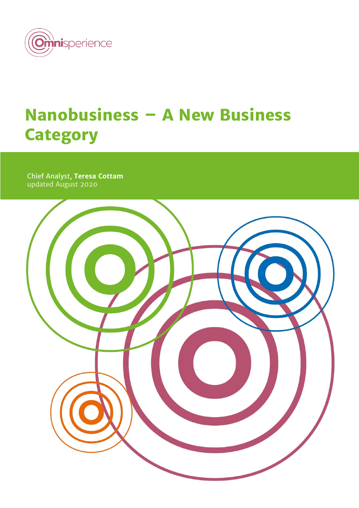

# **Nanobusiness – A New Business Category**

Chief Analyst, **Teresa Cottam** updated August 2020

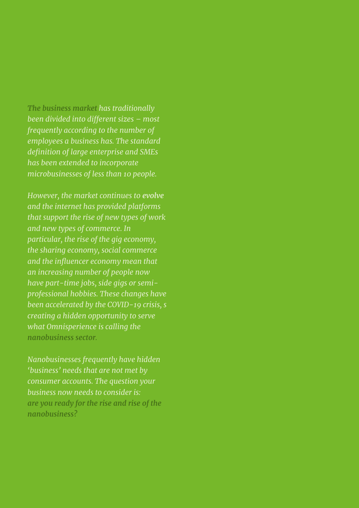*The business market has traditionally been divided into different sizes – most frequently according to the number of employees a business has. The standard definition of large enterprise and SMEs has been extended to incorporate microbusinesses of less than 10 people.*

*However, the market continues to evolve and the internet has provided platforms that support the rise of new types of work and new types of commerce. In particular, the rise of the gig economy, the sharing economy, social commerce and the influencer economy mean that an increasing number of people now have part-time jobs, side gigs or semiprofessional hobbies. These changes have been accelerated by the COVID-19 crisis, s creating a hidden opportunity to serve what Omnisperience is calling the nanobusiness sector.*

*Nanobusinesses frequently have hidden 'business' needs that are not met by consumer accounts. The question your business now needs to consider is: are you ready for the rise and rise of the nanobusiness?*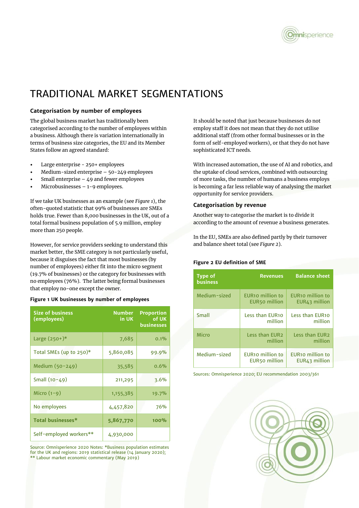

# TRADITIONAL MARKET SEGMENTATIONS

### **Categorisation by number of employees**

The global business market has traditionally been categorised according to the number of employees within a business. Although there is variation internationally in terms of business size categories, the EU and its Member States follow an agreed standard:

- Large enterprise 250+ employees
- Medium-sized enterprise 50-249 employees
- Small enterprise  $-49$  and fewer employees
- Microbusinesses  $-1-9$  employees.

If we take UK businesses as an example (see *Figure 1*), the often-quoted statistic that 99% of businesses are SMEs holds true. Fewer than 8,000 businesses in the UK, out of a total formal business population of 5.9 million, employ more than 250 people.

However, for service providers seeking to understand this market better, the SME category is not particularly useful, because it disguises the fact that most businesses (by number of employees) either fit into the micro segment (19.7% of businesses) or the category for businesses with no employees (76%). The latter being formal businesses that employ no-one except the owner.

#### **Figure 1 UK businesses by number of employees**

| <b>Size of business</b><br>(employees) | <b>Number</b><br>in UK | <b>Proportion</b><br>of UK<br>businesses |
|----------------------------------------|------------------------|------------------------------------------|
| Large $(250+)$ *                       | 7,685                  | 0.1%                                     |
| Total SMEs (up to $250$ <sup>*</sup>   | 5,860,085              | 99.9%                                    |
| Medium $(50 - 249)$                    | 35,585                 | 0.6%                                     |
| Small $(10-49)$                        | 211,295                | 3.6%                                     |
| Micro $(1-9)$                          | 1, 155, 385            | 19.7%                                    |
| No employees                           | 4,457,820              | 76%                                      |
| Total businesses*                      | 5,867,770              | 100%                                     |
| Self-employed workers**                | 4,930,000              |                                          |

Source: Omnisperience 2020 Notes: \*Business population estimates for the UK and regions: 2019 statistical release (14 January 2020); \*\* Labour market economic commentary (May 2019)

It should be noted that just because businesses do not employ staff it does not mean that they do not utilise additional staff (from other formal businesses or in the form of self-employed workers), or that they do not have sophisticated ICT needs.

With increased automation, the use of AI and robotics, and the uptake of cloud services, combined with outsourcing of more tasks, the number of humans a business employs is becoming a far less reliable way of analysing the market opportunity for service providers.

#### **Categorisation by revenue**

Another way to categorise the market is to divide it according to the amount of revenue a business generates.

In the EU, SMEs are also defined partly by their turnover and balance sheet total (see *Figure 2*).

#### **Figure 2 EU definition of SME**

| <b>Type of</b><br><b>business</b> | <b>Revenues</b>                                 | <b>Balance sheet</b>                          |
|-----------------------------------|-------------------------------------------------|-----------------------------------------------|
| Medium-sized                      | EUR <sub>10</sub> million to<br>EUR50 million   | EUR <sub>10</sub> million to<br>EUR43 million |
| Small                             | Less than EUR10<br>million                      | Less than EUR10<br>million                    |
| Micro                             | Less than EUR2<br>million                       | Less than EUR2<br>million                     |
| Medium-sized                      | <b>EUR10 million to</b><br><b>EUR50 million</b> | EUR <sub>10</sub> million to<br>EUR43 million |

Sources: Omnisperience 2020; EU recommendation 2003/361

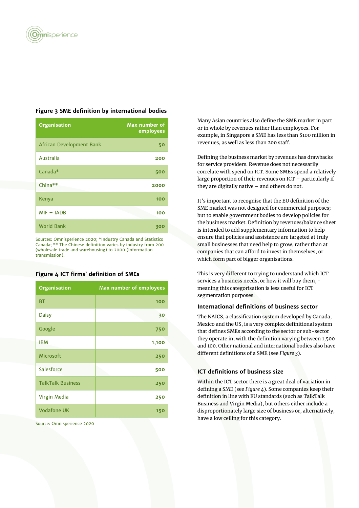| <b>Organisation</b>      | Max number of<br>employees |
|--------------------------|----------------------------|
| African Development Bank | 50                         |
| Australia                | 200                        |
| Canada*                  | 500                        |
| China**                  | 2000                       |
| Kenya                    | 100                        |
| $MIF - IADB$             | 100                        |
| <b>World Bank</b>        | 300                        |

### **Figure 3 SME definition by international bodies**

Sources: Omnisperience 2020; \*Industry Canada and Statistics Canada; \*\* The Chinese definition varies by industry from 200 (wholesale trade and warehousing) to 2000 (information transmission).

#### **Figure 4 ICT firms' definition of SMEs**

| <b>Organisation</b>      | <b>Max number of employees</b> |
|--------------------------|--------------------------------|
| <b>BT</b>                | 100                            |
| <b>Daisy</b>             | 30                             |
| Google                   | 750                            |
| <b>IBM</b>               | 1,100                          |
| <b>Microsoft</b>         | 250                            |
| Salesforce               | 500                            |
| <b>TalkTalk Business</b> | 250                            |
| Virgin Media             | 250                            |
| <b>Vodafone UK</b>       | 150                            |

Source: Omnisperience 2020

Many Asian countries also define the SME market in part or in whole by revenues rather than employees. For example, in Singapore a SME has less than \$100 million in revenues, as well as less than 200 staff.

Defining the business market by revenues has drawbacks for service providers. Revenue does not necessarily correlate with spend on ICT. Some SMEs spend a relatively large proportion of their revenues on ICT – particularly if they are digitally native – and others do not.

It's important to recognise that the EU definition of the SME market was not designed for commercial purposes; but to enable government bodies to develop policies for the business market. Definition by revenues/balance sheet is intended to add supplementary information to help ensure that policies and assistance are targeted at truly small businesses that need help to grow, rather than at companies that can afford to invest in themselves, or which form part of bigger organisations.

This is very different to trying to understand which ICT services a business needs, or how it will buy them, meaning this categorisation is less useful for ICT segmentation purposes.

#### **International definitions of business sector**

The NAICS, a classification system developed by Canada, Mexico and the US, is a very complex definitional system that defines SMEs according to the sector or sub-sector they operate in, with the definition varying between 1,500 and 100. Other national and international bodies also have different definitions of a SME (see *Figure 3*).

#### **ICT definitions of business size**

Within the ICT sector there is a great deal of variation in defining a SME (see *Figure 4*). Some companies keep their definition in line with EU standards (such as TalkTalk Business and Virgin Media), but others either include a disproportionately large size of business or, alternatively, have a low ceiling for this category.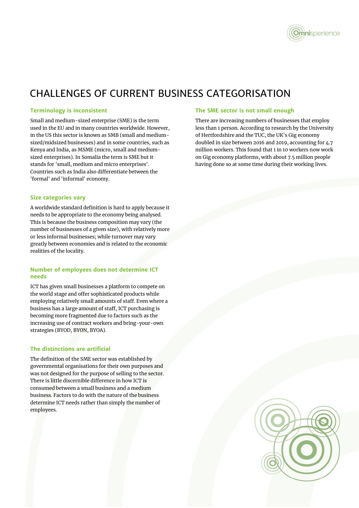

### CHALLENGES OF CURRENT BUSINESS CATEGORISATION

### **Terminology is inconsistent**

Small and medium-sized enterprise (SME) is the term used in the EU and in many countries worldwide. However, in the US this sector is known as SMB (small and mediumsized/midsized businesses) and in some countries, such as Kenya and India, as MSME (micro, small and mediumsized enterprises). In Somalia the term is SME but it stands for 'small, medium and micro enterprises'. Countries such as India also differentiate between the 'formal' and 'informal' economy.

### **Size categories vary**

A worldwide standard definition is hard to apply because it needs to be appropriate to the economy being analysed. This is because the business composition may vary (the number of businesses of a given size), with relatively more or less informal businesses; while turnover may vary greatly between economies and is related to the economic realities of the locality.

### **Number of employees does not determine ICT needs**

ICT has given small businesses a platform to compete on the world stage and offer sophisticated products while employing relatively small amounts of staff. Even where a business has a large amount of staff, ICT purchasing is becoming more fragmented due to factors such as the increasing use of contract workers and bring-your-own strategies (BYOD, BYON, BYOA).

### **The distinctions are artificial**

The definition of the SME sector was established by governmental organisations for their own purposes and was not designed for the purpose of selling to the sector. There is little discernible difference in how ICT is consumed between a small business and a medium business. Factors to do with the nature of the business determine ICT needs rather than simply the number of employees.

#### **The SME sector is not small enough**

There are increasing numbers of businesses that employ less than 1 person. According to research by the University of Hertfordshire and the TUC, the UK's Gig economy doubled in size between 2016 and 2019, accounting for 4.7 million workers. This found that 1 in 10 workers now work on Gig economy platforms, with about 7.5 million people having done so at some time during their working lives.

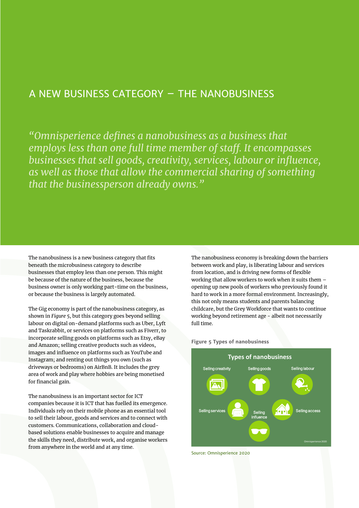### A NEW BUSINESS CATEGORY – THE NANOBUSINESS

*"Omnisperience defines a nanobusiness as a business that employs less than one full time member of staff. It encompasses businesses that sell goods, creativity, services, labour or influence, as well as those that allow the commercial sharing of something that the businessperson already owns."*

The nanobusiness is a new business category that fits beneath the microbusiness category to describe businesses that employ less than one person. This might be because of the nature of the business, because the business owner is only working part-time on the business, or because the business is largely automated.

The Gig economy is part of the nanobusiness category, as shown in *Figure 5*, but this category goes beyond selling labour on digital on-demand platforms such as Uber, Lyft and Taskrabbit, or services on platforms such as Fiverr, to incorporate selling goods on platforms such as Etsy, eBay and Amazon; selling creative products such as videos, images and influence on platforms such as YouTube and Instagram; and renting out things you own (such as driveways or bedrooms) on AirBnB. It includes the grey area of work and play where hobbies are being monetised for financial gain.

The nanobusiness is an important sector for ICT companies because it is ICT that has fuelled its emergence. Individuals rely on their mobile phone as an essential tool to sell their labour, goods and services and to connect with customers. Communications, collaboration and cloudbased solutions enable businesses to acquire and manage the skills they need, distribute work, and organise workers from anywhere in the world and at any time.

The nanobusiness economy is breaking down the barriers between work and play, is liberating labour and services from location, and is driving new forms of flexible working that allow workers to work when it suits them – opening up new pools of workers who previously found it hard to work in a more formal environment. Increasingly, this not only means students and parents balancing childcare, but the Grey Workforce that wants to continue working beyond retirement age - albeit not necessarily full time.





Source: Omnisperience 2020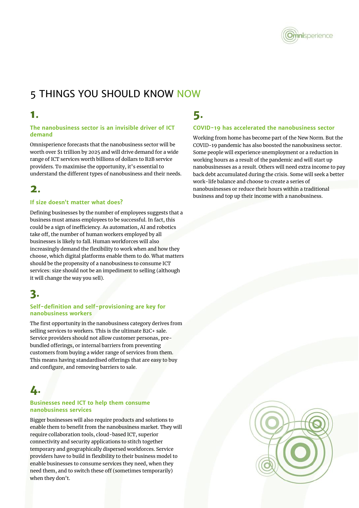

# 5 THINGS YOU SHOULD KNOW NOW

### **1.**

### **The nanobusiness sector is an invisible driver of ICT demand**

Omnisperience forecasts that the nanobusiness sector will be worth over \$1 trillion by 2025 and will drive demand for a wide range of ICT services worth billions of dollars to B2B service providers. To maximise the opportunity, it's essential to understand the different types of nanobusiness and their needs.

### **2.**

### **If size doesn't matter what does?**

Defining businesses by the number of employees suggests that a business must amass employees to be successful. In fact, this could be a sign of inefficiency. As automation, AI and robotics take off, the number of human workers employed by all businesses is likely to fall. Human workforces will also increasingly demand the flexibility to work when and how they choose, which digital platforms enable them to do. What matters should be the propensity of a nanobusiness to consume ICT services: size should not be an impediment to selling (although it will change the way you sell).

### **3.**

### **Self-definition and self-provisioning are key for nanobusiness workers**

The first opportunity in the nanobusiness category derives from selling services to workers. This is the ultimate B2C+ sale. Service providers should not allow customer personas, prebundled offerings, or internal barriers from preventing customers from buying a wider range of services from them. This means having standardised offerings that are easy to buy and configure, and removing barriers to sale.

# **4.**

### **Businesses need ICT to help them consume nanobusiness services**

Bigger businesses will also require products and solutions to enable them to benefit from the nanobusiness market. They will require collaboration tools, cloud-based ICT, superior connectivity and security applications to stitch together temporary and geographically dispersed workforces. Service providers have to build in flexibility to their business model to enable businesses to consume services they need, when they need them, and to switch these off (sometimes temporarily) when they don't.

# **5.**

### **COVID-19 has accelerated the nanobusiness sector**

Working from home has become part of the New Norm. But the COVID-19 pandemic has also boosted the nanobusiness sector. Some people will experience unemployment or a reduction in working hours as a result of the pandemic and will start up nanobusinesses as a result. Others will need extra income to pay back debt accumulated during the crisis. Some will seek a better work-life balance and choose to create a series of nanobusinesses or reduce their hours within a traditional business and top up their income with a nanobusiness.